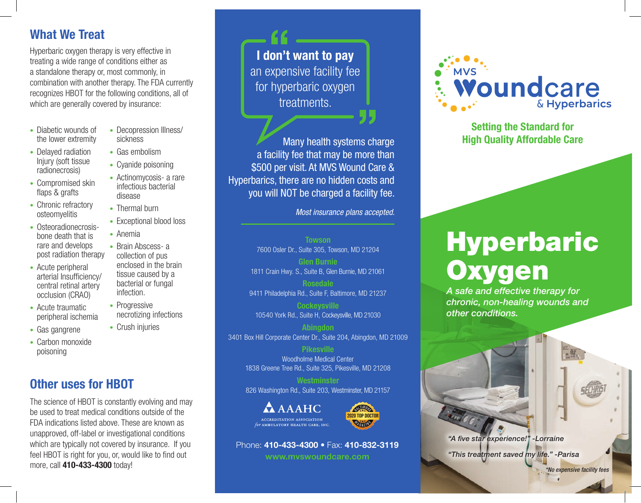## What We Treat

Hyperbaric oxygen therapy is very effective in treating a wide range of conditions either as a standalone therapy or, most commonly, in combination with another therapy. The FDA currently recognizes HBOT for the following conditions, all of which are generally covered by insurance:

• Decopression Illness/

• Exceptional blood loss

necrotizing infections

• Brain Abscess- a collection of pus enclosed in the brain tissue caused by a bacterial or fungal

sickness • Gas embolism • Cyanide poisoning • Actinomycosis- a rare infectious bacterial

disease • Thermal burn

• Anemia

infection. • Progressive

• Crush injuries

- Diabetic wounds of the lower extremity
- Delaved radiation Injury (soft tissue radionecrosis)
- Compromised skin flaps & grafts
- Chronic refractory osteomyelitis
- Osteoradionecrosisbone death that is rare and develops post radiation therapy
- Acute peripheral arterial Insufficiency/ central retinal artery occlusion (CRAO)
- Acute traumatic peripheral ischemia
- Gas gangrene
- Carbon monoxide poisoning

# Other uses for HBOT

The science of HBOT is constantly evolving and may be used to treat medical conditions outside of the FDA indications listed above. These are known as unapproved, off-label or investigational conditions which are typically not covered by insurance. If you feel HBOT is right for you, or, would like to find out more, call 410-433-4300 today!

I don't want to pay an expensive facility fee for hyperbaric oxygen treatments.

Many health systems charge a facility fee that may be more than \$500 per visit. At MVS Wound Care & Hyperbarics, there are no hidden costs and you will NOT be charged a facility fee.

*Most insurance plans accepted.*

**Towson** 7600 Osler Dr., Suite 305, Towson, MD 21204

Glen Burnie 1811 Crain Hwy. S., Suite B, Glen Burnie, MD 21061

9411 Philadelphia Rd., Suite F, Baltimore, MD 21237

**Cockeysville** 10540 York Rd., Suite H, Cockeysville, MD 21030

**Abinadon** 3401 Box Hill Corporate Center Dr., Suite 204, Abingdon, MD 21009

> Pikesville Woodholme Medical Center 1838 Greene Tree Rd., Suite 325, Pikesville, MD 21208

> **Westminster** 826 Washington Rd., Suite 203, Westminster, MD 21157

> > 2020 TOP DOCTOR

**EAGARITY** 





www.mvswoundcare.com



Setting the Standard for High Quality Affordable Care

# Hyperbaric **Oxygen**

*A safe and effective therapy for chronic, non-healing wounds and other conditions.*